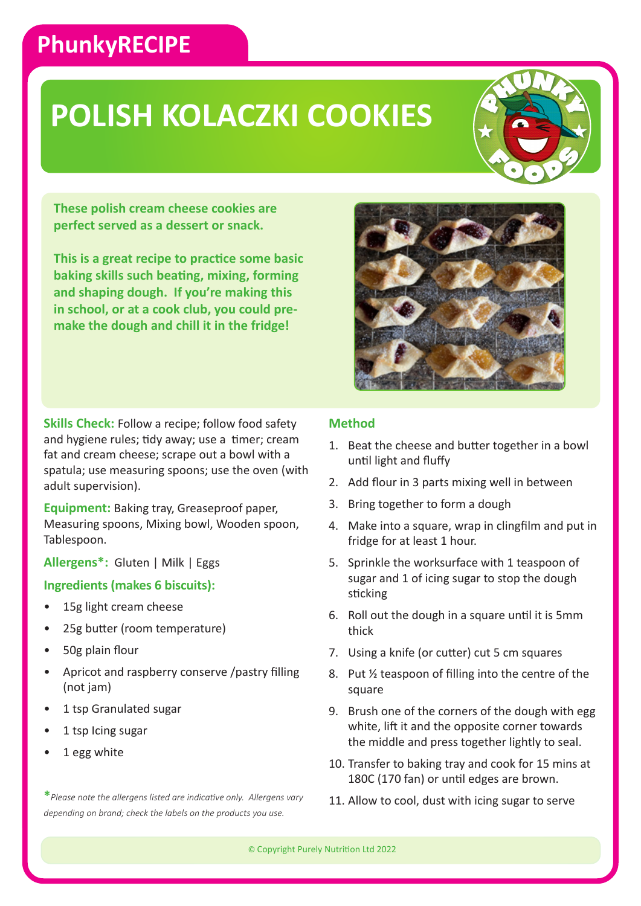### **PhunkyRECIPE**

## **POLISH KOLACZKI COOKIES**



**These polish cream cheese cookies are perfect served as a dessert or snack.**

**This is a great recipe to practice some basic baking skills such beating, mixing, forming and shaping dough. If you're making this in school, or at a cook club, you could premake the dough and chill it in the fridge!**

**Skills Check:** Follow a recipe; follow food safety and hygiene rules; tidy away; use a timer; cream fat and cream cheese; scrape out a bowl with a spatula; use measuring spoons; use the oven (with adult supervision).

**Equipment:** Baking tray, Greaseproof paper, Measuring spoons, Mixing bowl, Wooden spoon, Tablespoon.

**Allergens\*:** Gluten | Milk | Eggs

#### **Ingredients (makes 6 biscuits):**

- 15g light cream cheese
- 25g butter (room temperature)
- 50g plain flour
- Apricot and raspberry conserve /pastry filling (not jam)
- 1 tsp Granulated sugar
- 1 tsp Icing sugar
- 1 egg white

**\****Please note the allergens listed are indicative only. Allergens vary depending on brand; check the labels on the products you use.*



### **Method**

- 1. Beat the cheese and butter together in a bowl until light and fluffy
- 2. Add flour in 3 parts mixing well in between
- 3. Bring together to form a dough
- 4. Make into a square, wrap in clingfilm and put in fridge for at least 1 hour.
- 5. Sprinkle the worksurface with 1 teaspoon of sugar and 1 of icing sugar to stop the dough sticking
- 6. Roll out the dough in a square until it is 5mm thick
- 7. Using a knife (or cutter) cut 5 cm squares
- 8. Put ½ teaspoon of filling into the centre of the square
- 9. Brush one of the corners of the dough with egg white, lift it and the opposite corner towards the middle and press together lightly to seal.
- 10. Transfer to baking tray and cook for 15 mins at 180C (170 fan) or until edges are brown.
- 11. Allow to cool, dust with icing sugar to serve